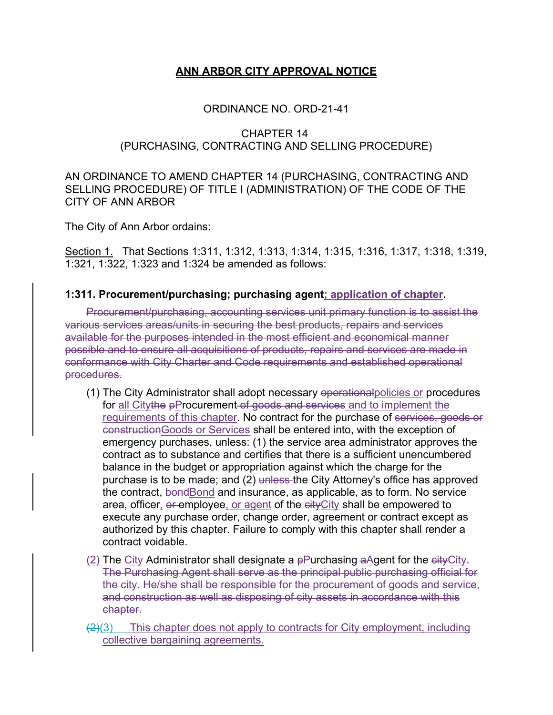# **ANN ARBOR CITY APPROVAL NOTICE**

### ORDINANCE NO. ORD-21-41

### CHAPTER 14 (PURCHASING, CONTRACTING AND SELLING PROCEDURE)

### AN ORDINANCE TO AMEND CHAPTER 14 (PURCHASING, CONTRACTING AND SELLING PROCEDURE) OF TITLE I (ADMINISTRATION) OF THE CODE OF THE CITY OF ANN ARBOR

The City of Ann Arbor ordains:

Section 1. That Sections 1:311, 1:312, 1:313, 1:314, 1:315, 1:316, 1:317, 1:318, 1:319, 1:321, 1:322, 1:323 and 1:324 be amended as follows:

### **1:311. Procurement/purchasing; purchasing agent; application of chapter.**

Procurement/purchasing, accounting services unit primary function is to assist the various services areas/units in securing the best products, repairs and services available for the purposes intended in the most efficient and economical manner possible and to ensure all acquisitions of products, repairs and services are made in conformance with City Charter and Code requirements and established operational procedures.

- (1) The City Administrator shall adopt necessary operationalpolicies or procedures for all Citythe pProcurement of goods and services and to implement the requirements of this chapter. No contract for the purchase of services, goods or constructionGoods or Services shall be entered into, with the exception of emergency purchases, unless: (1) the service area administrator approves the contract as to substance and certifies that there is a sufficient unencumbered balance in the budget or appropriation against which the charge for the purchase is to be made; and (2) unless the City Attorney's office has approved the contract, bondBond and insurance, as applicable, as to form. No service area, officer, or employee, or agent of the city City shall be empowered to execute any purchase order, change order, agreement or contract except as authorized by this chapter. Failure to comply with this chapter shall render a contract voidable.
- (2) The City Administrator shall designate a  $p$ Purchasing aAgent for the  $e$ ityCity. The Purchasing Agent shall serve as the principal public purchasing official for the city. He/she shall be responsible for the procurement of goods and service, and construction as well as disposing of city assets in accordance with this chapter.
- $\left(2\right)$ (3) This chapter does not apply to contracts for City employment, including collective bargaining agreements.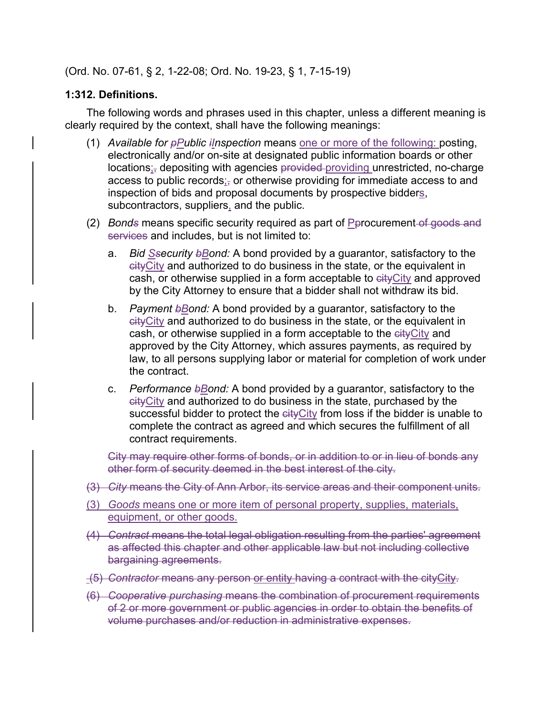(Ord. No. 07-61, § 2, 1-22-08; Ord. No. 19-23, § 1, 7-15-19)

# **1:312. Definitions.**

The following words and phrases used in this chapter, unless a different meaning is clearly required by the context, shall have the following meanings:

- (1) *Available for pPublic iInspection* means one or more of the following: posting, electronically and/or on-site at designated public information boards or other locations;<sub>i</sub> depositing with agencies provided-providing unrestricted, no-charge access to public records;<sub></sub> or otherwise providing for immediate access to and inspection of bids and proposal documents by prospective bidders, subcontractors, suppliers, and the public.
- (2) *Bonds* means specific security required as part of Perocurement-of goods and services and includes, but is not limited to:
	- a. *Bid Ssecurity bBond:* A bond provided by a guarantor, satisfactory to the cityCity and authorized to do business in the state, or the equivalent in cash, or otherwise supplied in a form acceptable to cityCity and approved by the City Attorney to ensure that a bidder shall not withdraw its bid.
	- b. *Payment bBond:* A bond provided by a guarantor, satisfactory to the cityCity and authorized to do business in the state, or the equivalent in cash, or otherwise supplied in a form acceptable to the cityCity and approved by the City Attorney, which assures payments, as required by law, to all persons supplying labor or material for completion of work under the contract.
	- c. *Performance bBond:* A bond provided by a guarantor, satisfactory to the cityCity and authorized to do business in the state, purchased by the successful bidder to protect the eity City from loss if the bidder is unable to complete the contract as agreed and which secures the fulfillment of all contract requirements.

City may require other forms of bonds, or in addition to or in lieu of bonds any other form of security deemed in the best interest of the city.

- (3) *City* means the City of Ann Arbor, its service areas and their component units.
- (3) *Goods* means one or more item of personal property, supplies, materials, equipment, or other goods.
- (4) *Contract* means the total legal obligation resulting from the parties' agreement as affected this chapter and other applicable law but not including collective bargaining agreements.
- (5) *Contractor* means any person or entity having a contract with the cityCity.
- (6) *Cooperative purchasing* means the combination of procurement requirements of 2 or more government or public agencies in order to obtain the benefits of volume purchases and/or reduction in administrative expenses.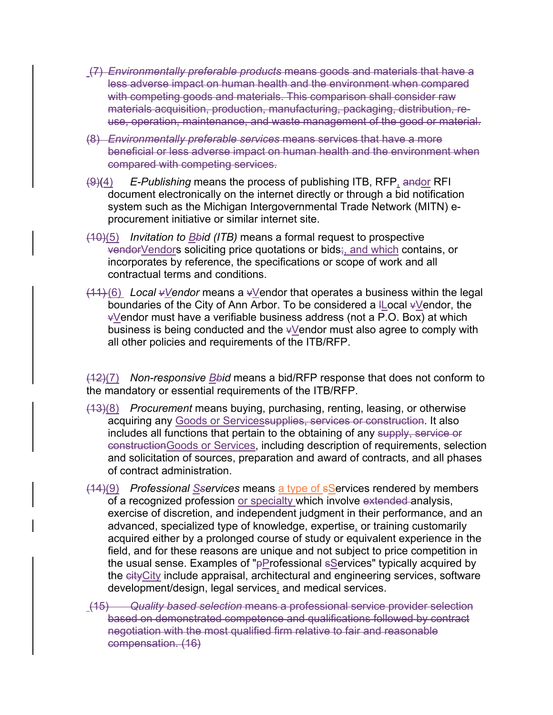- (7) *Environmentally preferable products* means goods and materials that have a less adverse impact on human health and the environment when compared with competing goods and materials. This comparison shall consider raw materials acquisition, production, manufacturing, packaging, distribution, reuse, operation, maintenance, and waste management of the good or material.
- (8) *Environmentally preferable services* means services that have a more beneficial or less adverse impact on human health and the environment when compared with competing services.
- (9)(4) *E-Publishing* means the process of publishing ITB, RFP, andor RFI document electronically on the internet directly or through a bid notification system such as the Michigan Intergovernmental Trade Network (MITN) eprocurement initiative or similar internet site.
- (10)(5) *Invitation to Bbid (ITB)* means a formal request to prospective vendorVendors soliciting price quotations or bids;, and which contains, or incorporates by reference, the specifications or scope of work and all contractual terms and conditions.
- (11) (6) *Local vVendor* means a vVendor that operates a business within the legal boundaries of the City of Ann Arbor. To be considered a ILocal  $\frac{1}{2}$  vendor, the  $\sqrt{v}$ endor must have a verifiable business address (not a P.O. Box) at which business is being conducted and the vVendor must also agree to comply with all other policies and requirements of the ITB/RFP.

(12)(7) *Non-responsive Bbid* means a bid/RFP response that does not conform to the mandatory or essential requirements of the ITB/RFP.

- (13)(8) *Procurement* means buying, purchasing, renting, leasing, or otherwise acquiring any Goods or Services upplies, services or construction. It also includes all functions that pertain to the obtaining of any supply, service or constructionGoods or Services, including description of requirements, selection and solicitation of sources, preparation and award of contracts, and all phases of contract administration.
- (14)(9) *Professional Sservices* means a type of sServices rendered by members of a recognized profession or specialty which involve extended analysis, exercise of discretion, and independent judgment in their performance, and an advanced, specialized type of knowledge, expertise, or training customarily acquired either by a prolonged course of study or equivalent experience in the field, and for these reasons are unique and not subject to price competition in the usual sense. Examples of "pProfessional sServices" typically acquired by the eityCity include appraisal, architectural and engineering services, software development/design, legal services, and medical services.
- (15) *Quality based selection* means a professional service provider selection based on demonstrated competence and qualifications followed by contract negotiation with the most qualified firm relative to fair and reasonable compensation. (16)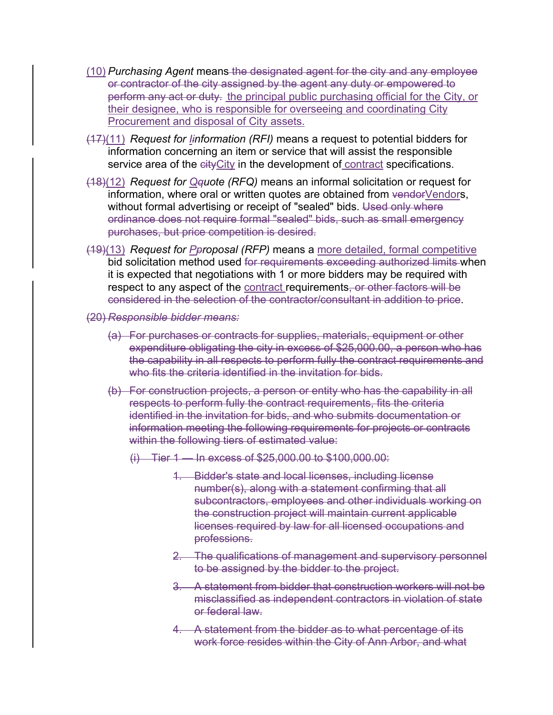- (10) *Purchasing Agent* means the designated agent for the city and any employee or contractor of the city assigned by the agent any duty or empowered to perform any act or duty. the principal public purchasing official for the City, or their designee, who is responsible for overseeing and coordinating City Procurement and disposal of City assets.
- (17)(11) *Request for Iinformation (RFI)* means a request to potential bidders for information concerning an item or service that will assist the responsible service area of the eity City in the development of contract specifications.
- (18)(12) *Request for Qquote (RFQ)* means an informal solicitation or request for information, where oral or written quotes are obtained from vendorVendors, without formal advertising or receipt of "sealed" bids. Used only where ordinance does not require formal "sealed" bids, such as small emergency purchases, but price competition is desired.
- (19)(13) *Request for Pproposal (RFP)* means a more detailed, formal competitive bid solicitation method used for requirements exceeding authorized limits when it is expected that negotiations with 1 or more bidders may be required with respect to any aspect of the contract requirements, or other factors will be considered in the selection of the contractor/consultant in addition to price.
- (20) *Responsible bidder means:*
	- (a) For purchases or contracts for supplies, materials, equipment or other expenditure obligating the city in excess of \$25,000.00, a person who has the capability in all respects to perform fully the contract requirements and who fits the criteria identified in the invitation for bids.
	- (b) For construction projects, a person or entity who has the capability in all respects to perform fully the contract requirements, fits the criteria identified in the invitation for bids, and who submits documentation or information meeting the following requirements for projects or contracts within the following tiers of estimated value:
		- (i) Tier 1 In excess of \$25,000.00 to \$100,000.00:
			- 1. Bidder's state and local licenses, including license number(s), along with a statement confirming that all subcontractors, employees and other individuals working on the construction project will maintain current applicable licenses required by law for all licensed occupations and professions.
			- 2. The qualifications of management and supervisory personnel to be assigned by the bidder to the project.
			- 3. A statement from bidder that construction workers will not be misclassified as independent contractors in violation of state or federal law.
			- 4. A statement from the bidder as to what percentage of its work force resides within the City of Ann Arbor, and what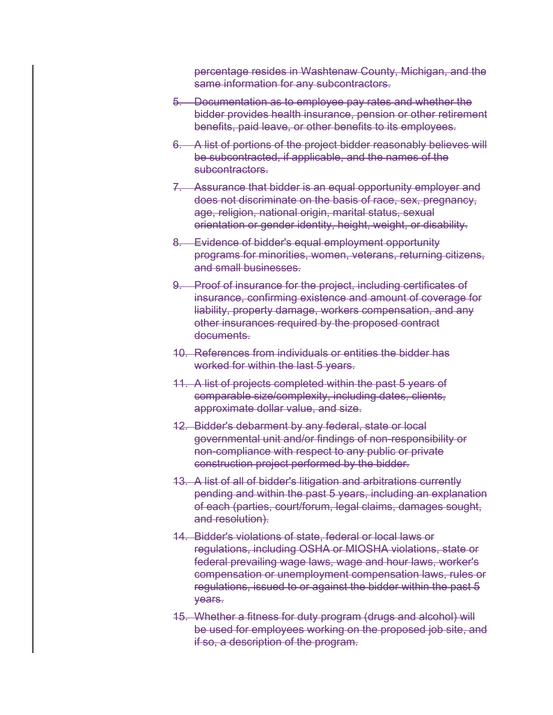percentage resides in Washtenaw County, Michigan, and the same information for any subcontractors.

- 5. Documentation as to employee pay rates and whether the bidder provides health insurance, pension or other retirement benefits, paid leave, or other benefits to its employees.
- 6. A list of portions of the project bidder reasonably believes will be subcontracted, if applicable, and the names of the subcontractors.
- 7. Assurance that bidder is an equal opportunity employer and does not discriminate on the basis of race, sex, pregnancy, age, religion, national origin, marital status, sexual orientation or gender identity, height, weight, or disability.
- 8. Evidence of bidder's equal employment opportunity programs for minorities, women, veterans, returning citizens, and small businesses.
- 9. Proof of insurance for the project, including certificates of insurance, confirming existence and amount of coverage for liability, property damage, workers compensation, and any other insurances required by the proposed contract documents.
- 10. References from individuals or entities the bidder has worked for within the last 5 years.
- 11. A list of projects completed within the past 5 years of comparable size/complexity, including dates, clients, approximate dollar value, and size.
- 12. Bidder's debarment by any federal, state or local governmental unit and/or findings of non-responsibility or non-compliance with respect to any public or private construction project performed by the bidder.
- 13. A list of all of bidder's litigation and arbitrations currently pending and within the past 5 years, including an explanation of each (parties, court/forum, legal claims, damages sought, and resolution).
- 14. Bidder's violations of state, federal or local laws or regulations, including OSHA or MIOSHA violations, state or federal prevailing wage laws, wage and hour laws, worker's compensation or unemployment compensation laws, rules or regulations, issued to or against the bidder within the past 5 years.
- 15. Whether a fitness for duty program (drugs and alcohol) will be used for employees working on the proposed job site, and if so, a description of the program.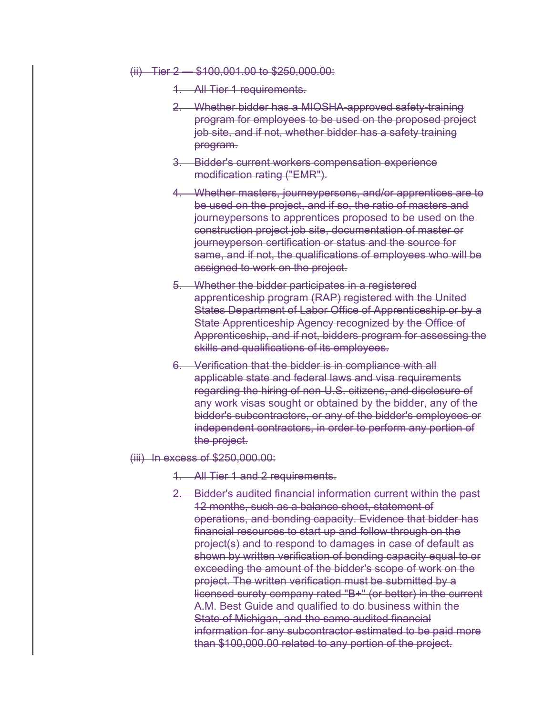- (ii) Tier 2 \$100,001.00 to \$250,000.00:
	- 1. All Tier 1 requirements.
	- 2. Whether bidder has a MIOSHA-approved safety-training program for employees to be used on the proposed project job site, and if not, whether bidder has a safety training program.
	- 3. Bidder's current workers compensation experience modification rating ("EMR").
	- 4. Whether masters, journeypersons, and/or apprentices are to be used on the project, and if so, the ratio of masters and journeypersons to apprentices proposed to be used on the construction project job site, documentation of master or journeyperson certification or status and the source for same, and if not, the qualifications of employees who will be assigned to work on the project.
	- 5. Whether the bidder participates in a registered apprenticeship program (RAP) registered with the United States Department of Labor Office of Apprenticeship or by a State Apprenticeship Agency recognized by the Office of Apprenticeship, and if not, bidders program for assessing the skills and qualifications of its employees.
	- 6. Verification that the bidder is in compliance with all applicable state and federal laws and visa requirements regarding the hiring of non-U.S. citizens, and disclosure of any work visas sought or obtained by the bidder, any of the bidder's subcontractors, or any of the bidder's employees or independent contractors, in order to perform any portion of the project.
- (iii) In excess of \$250,000.00:
	- 1. All Tier 1 and 2 requirements.
	- 2. Bidder's audited financial information current within the past 12 months, such as a balance sheet, statement of operations, and bonding capacity. Evidence that bidder has financial resources to start up and follow through on the project(s) and to respond to damages in case of default as shown by written verification of bonding capacity equal to or exceeding the amount of the bidder's scope of work on the project. The written verification must be submitted by a licensed surety company rated "B+" (or better) in the current A.M. Best Guide and qualified to do business within the State of Michigan, and the same audited financial information for any subcontractor estimated to be paid more than \$100,000.00 related to any portion of the project.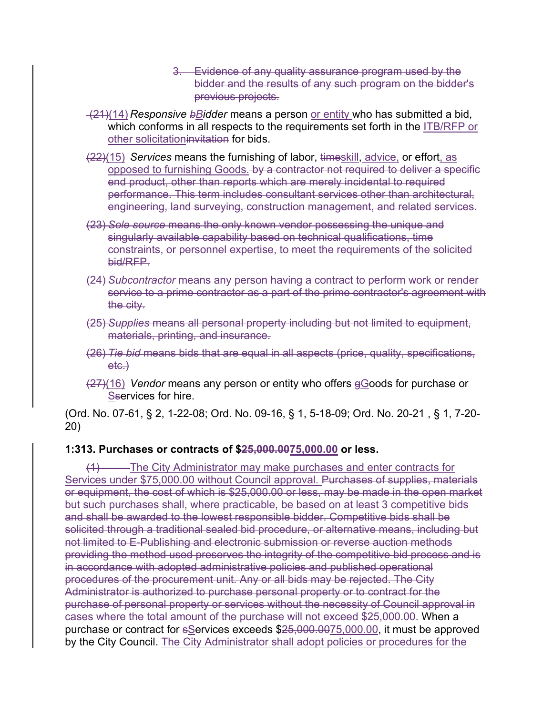- 3. Evidence of any quality assurance program used by the bidder and the results of any such program on the bidder's previous projects.
- (21)(14) *Responsive bBidder* means a person or entity who has submitted a bid, which conforms in all respects to the requirements set forth in the ITB/RFP or other solicitationinvitation for bids.
- (22)(15) *Services* means the furnishing of labor, timeskill, advice, or effort, as opposed to furnishing Goods. by a contractor not required to deliver a specific end product, other than reports which are merely incidental to required performance. This term includes consultant services other than architectural, engineering, land surveying, construction management, and related services.
- (23) *Sole source* means the only known vendor possessing the unique and singularly available capability based on technical qualifications, time constraints, or personnel expertise, to meet the requirements of the solicited bid/RFP.
- (24) *Subcontractor* means any person having a contract to perform work or render service to a prime contractor as a part of the prime contractor's agreement with the city.
- (25) *Supplies* means all personal property including but not limited to equipment, materials, printing, and insurance.
- (26) *Tie bid* means bids that are equal in all aspects (price, quality, specifications, etc.)
- (27)(16) *Vendor* means any person or entity who offers gGoods for purchase or Sservices for hire.

(Ord. No. 07-61, § 2, 1-22-08; Ord. No. 09-16, § 1, 5-18-09; Ord. No. 20-21 , § 1, 7-20- 20)

## **1:313. Purchases or contracts of \$25,000.0075,000.00 or less.**

(1) The City Administrator may make purchases and enter contracts for Services under \$75,000.00 without Council approval. Purchases of supplies, materials or equipment, the cost of which is \$25,000.00 or less, may be made in the open market but such purchases shall, where practicable, be based on at least 3 competitive bids and shall be awarded to the lowest responsible bidder. Competitive bids shall be solicited through a traditional sealed bid procedure, or alternative means, including but not limited to E-Publishing and electronic submission or reverse auction methods providing the method used preserves the integrity of the competitive bid process and is in accordance with adopted administrative policies and published operational procedures of the procurement unit. Any or all bids may be rejected. The City Administrator is authorized to purchase personal property or to contract for the purchase of personal property or services without the necessity of Council approval in cases where the total amount of the purchase will not exceed \$25,000.00. When a purchase or contract for sServices exceeds \$25,000.0075,000.00, it must be approved by the City Council. The City Administrator shall adopt policies or procedures for the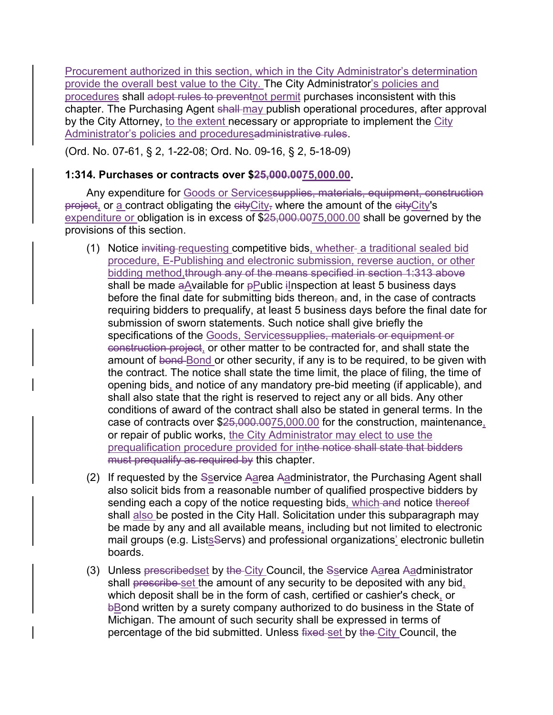Procurement authorized in this section, which in the City Administrator's determination provide the overall best value to the City. The City Administrator's policies and procedures shall adopt rules to preventnot permit purchases inconsistent with this chapter. The Purchasing Agent shall may publish operational procedures, after approval by the City Attorney, to the extent necessary or appropriate to implement the City Administrator's policies and proceduresadministrative rules.

(Ord. No. 07-61, § 2, 1-22-08; Ord. No. 09-16, § 2, 5-18-09)

### **1:314. Purchases or contracts over \$25,000.0075,000.00.**

Any expenditure for Goods or Servicessupplies, materials, equipment, construction project, or a contract obligating the cityCity<sub>7</sub> where the amount of the cityCity's expenditure or obligation is in excess of  $$25,000.0075,000.00$  shall be governed by the provisions of this section.

- (1) Notice inviting requesting competitive bids, whether- a traditional sealed bid procedure, E-Publishing and electronic submission, reverse auction, or other bidding method,through any of the means specified in section 1:313 above shall be made aAvailable for pPublic ilnspection at least 5 business days before the final date for submitting bids thereon, and, in the case of contracts requiring bidders to prequalify, at least 5 business days before the final date for submission of sworn statements. Such notice shall give briefly the specifications of the Goods, Servicessupplies, materials or equipment or construction project, or other matter to be contracted for, and shall state the amount of bond-Bond or other security, if any is to be required, to be given with the contract. The notice shall state the time limit, the place of filing, the time of opening bids, and notice of any mandatory pre-bid meeting (if applicable), and shall also state that the right is reserved to reject any or all bids. Any other conditions of award of the contract shall also be stated in general terms. In the case of contracts over \$25,000.0075,000.00 for the construction, maintenance, or repair of public works, the City Administrator may elect to use the prequalification procedure provided for inthe notice shall state that bidders must prequalify as required by this chapter.
- (2) If requested by the Sservice Aarea Aadministrator, the Purchasing Agent shall also solicit bids from a reasonable number of qualified prospective bidders by sending each a copy of the notice requesting bids, which and notice thereof shall also be posted in the City Hall. Solicitation under this subparagraph may be made by any and all available means, including but not limited to electronic mail groups (e.g. Lists Servs) and professional organizations' electronic bulletin boards.
- (3) Unless prescribedset by the City Council, the Sservice Aarea Aadministrator shall prescribe set the amount of any security to be deposited with any bid, which deposit shall be in the form of cash, certified or cashier's check, or bBond written by a surety company authorized to do business in the State of Michigan. The amount of such security shall be expressed in terms of percentage of the bid submitted. Unless fixed set by the City Council, the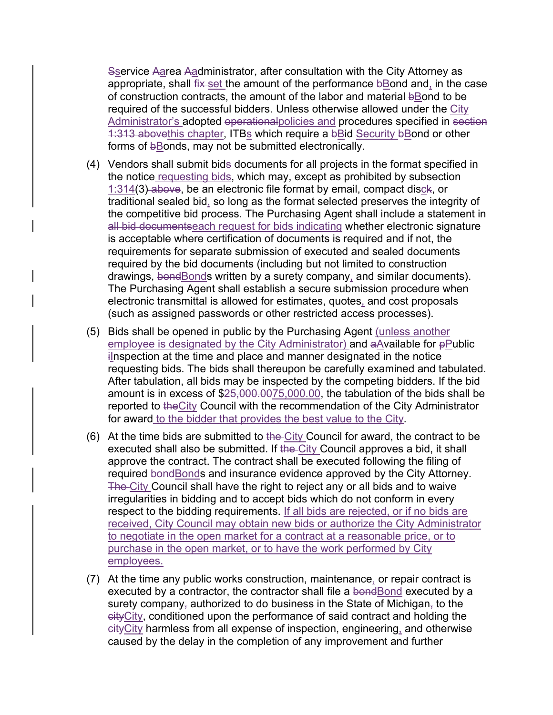Sservice Aarea Aadministrator, after consultation with the City Attorney as appropriate, shall fix-set the amount of the performance bBond and, in the case of construction contracts, the amount of the labor and material bBond to be required of the successful bidders. Unless otherwise allowed under the City Administrator's adopted operationalpolicies and procedures specified in section 1:313 abovethis chapter, ITBs which require a bBid Security bBond or other forms of bBonds, may not be submitted electronically.

- (4) Vendors shall submit bids documents for all projects in the format specified in the notice requesting bids, which may, except as prohibited by subsection 1:314(3) above, be an electronic file format by email, compact disck, or traditional sealed bid, so long as the format selected preserves the integrity of the competitive bid process. The Purchasing Agent shall include a statement in all bid documentseach request for bids indicating whether electronic signature is acceptable where certification of documents is required and if not, the requirements for separate submission of executed and sealed documents required by the bid documents (including but not limited to construction drawings, bond Bonds written by a surety company, and similar documents). The Purchasing Agent shall establish a secure submission procedure when electronic transmittal is allowed for estimates, quotes, and cost proposals (such as assigned passwords or other restricted access processes).
- (5) Bids shall be opened in public by the Purchasing Agent (unless another employee is designated by the City Administrator) and  $aA$ vailable for  $pD$ ublic ilnspection at the time and place and manner designated in the notice requesting bids. The bids shall thereupon be carefully examined and tabulated. After tabulation, all bids may be inspected by the competing bidders. If the bid amount is in excess of \$25,000.0075,000.00, the tabulation of the bids shall be reported to the City Council with the recommendation of the City Administrator for award to the bidder that provides the best value to the City.
- (6) At the time bids are submitted to the City Council for award, the contract to be executed shall also be submitted. If the City Council approves a bid, it shall approve the contract. The contract shall be executed following the filing of required bondBonds and insurance evidence approved by the City Attorney. The City Council shall have the right to reject any or all bids and to waive irregularities in bidding and to accept bids which do not conform in every respect to the bidding requirements. If all bids are rejected, or if no bids are received, City Council may obtain new bids or authorize the City Administrator to negotiate in the open market for a contract at a reasonable price, or to purchase in the open market, or to have the work performed by City employees.
- (7) At the time any public works construction, maintenance, or repair contract is executed by a contractor, the contractor shall file a bondBond executed by a surety company, authorized to do business in the State of Michigan, to the cityCity, conditioned upon the performance of said contract and holding the cityCity harmless from all expense of inspection, engineering, and otherwise caused by the delay in the completion of any improvement and further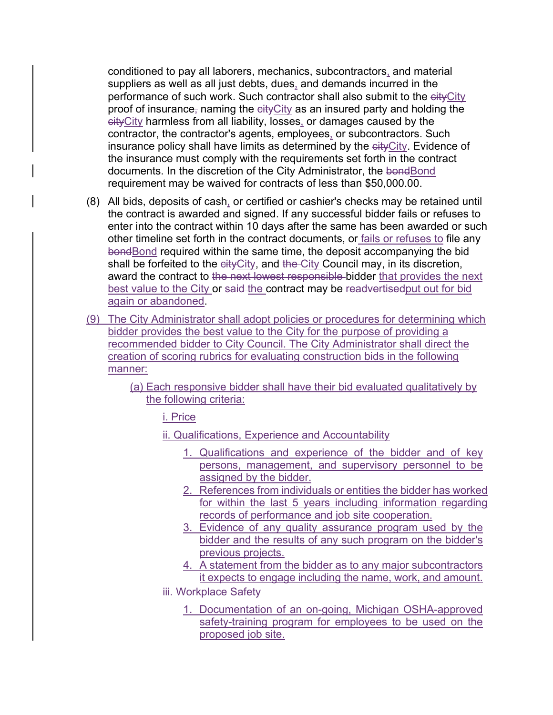conditioned to pay all laborers, mechanics, subcontractors, and material suppliers as well as all just debts, dues, and demands incurred in the performance of such work. Such contractor shall also submit to the eityCity proof of insurance, naming the  $e^{i t}$ . All as an insured party and holding the cityCity harmless from all liability, losses, or damages caused by the contractor, the contractor's agents, employees, or subcontractors. Such insurance policy shall have limits as determined by the eityCity. Evidence of the insurance must comply with the requirements set forth in the contract documents. In the discretion of the City Administrator, the bondBond requirement may be waived for contracts of less than \$50,000.00.

- (8) All bids, deposits of cash, or certified or cashier's checks may be retained until the contract is awarded and signed. If any successful bidder fails or refuses to enter into the contract within 10 days after the same has been awarded or such other timeline set forth in the contract documents, or fails or refuses to file any bondBond required within the same time, the deposit accompanying the bid shall be forfeited to the eity City, and the City Council may, in its discretion, award the contract to the next lowest responsible bidder that provides the next best value to the City or said-the contract may be readvertised put out for bid again or abandoned.
- (9) The City Administrator shall adopt policies or procedures for determining which bidder provides the best value to the City for the purpose of providing a recommended bidder to City Council. The City Administrator shall direct the creation of scoring rubrics for evaluating construction bids in the following manner:
	- (a) Each responsive bidder shall have their bid evaluated qualitatively by the following criteria:

i. Price

- ii. Qualifications, Experience and Accountability
	- 1. Qualifications and experience of the bidder and of key persons, management, and supervisory personnel to be assigned by the bidder.
	- 2. References from individuals or entities the bidder has worked for within the last 5 years including information regarding records of performance and job site cooperation.
	- 3. Evidence of any quality assurance program used by the bidder and the results of any such program on the bidder's previous projects.
	- 4. A statement from the bidder as to any major subcontractors it expects to engage including the name, work, and amount.
- iii. Workplace Safety
	- 1. Documentation of an on-going, Michigan OSHA-approved safety-training program for employees to be used on the proposed job site.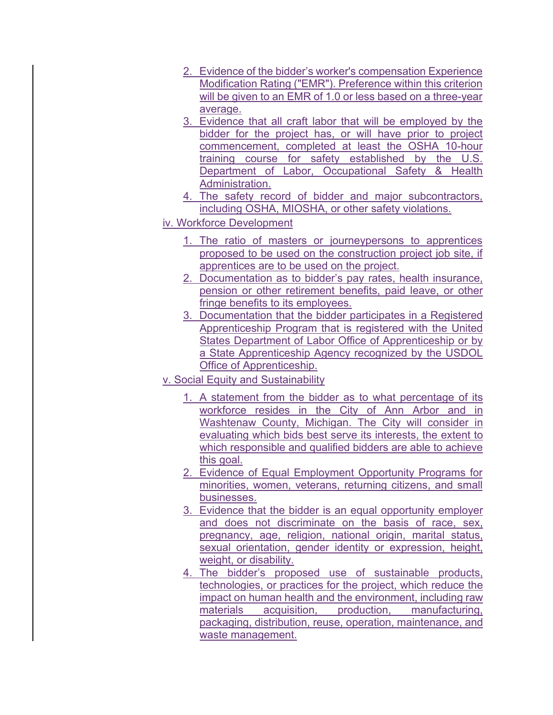- 2. Evidence of the bidder's worker's compensation Experience Modification Rating ("EMR"). Preference within this criterion will be given to an EMR of 1.0 or less based on a three-year average.
- 3. Evidence that all craft labor that will be employed by the bidder for the project has, or will have prior to project commencement, completed at least the OSHA 10-hour training course for safety established by the U.S. Department of Labor, Occupational Safety & Health Administration.
- 4. The safety record of bidder and major subcontractors, including OSHA, MIOSHA, or other safety violations.
- iv. Workforce Development
	- 1. The ratio of masters or journeypersons to apprentices proposed to be used on the construction project job site, if apprentices are to be used on the project.
	- 2. Documentation as to bidder's pay rates, health insurance, pension or other retirement benefits, paid leave, or other fringe benefits to its employees.
	- 3. Documentation that the bidder participates in a Registered Apprenticeship Program that is registered with the United States Department of Labor Office of Apprenticeship or by a State Apprenticeship Agency recognized by the USDOL Office of Apprenticeship.
- v. Social Equity and Sustainability
	- 1. A statement from the bidder as to what percentage of its workforce resides in the City of Ann Arbor and in Washtenaw County, Michigan. The City will consider in evaluating which bids best serve its interests, the extent to which responsible and qualified bidders are able to achieve this goal.
	- 2. Evidence of Equal Employment Opportunity Programs for minorities, women, veterans, returning citizens, and small businesses.
	- 3. Evidence that the bidder is an equal opportunity employer and does not discriminate on the basis of race, sex, pregnancy, age, religion, national origin, marital status, sexual orientation, gender identity or expression, height, weight, or disability.
	- 4. The bidder's proposed use of sustainable products, technologies, or practices for the project, which reduce the impact on human health and the environment, including raw materials acquisition, production, manufacturing, packaging, distribution, reuse, operation, maintenance, and waste management.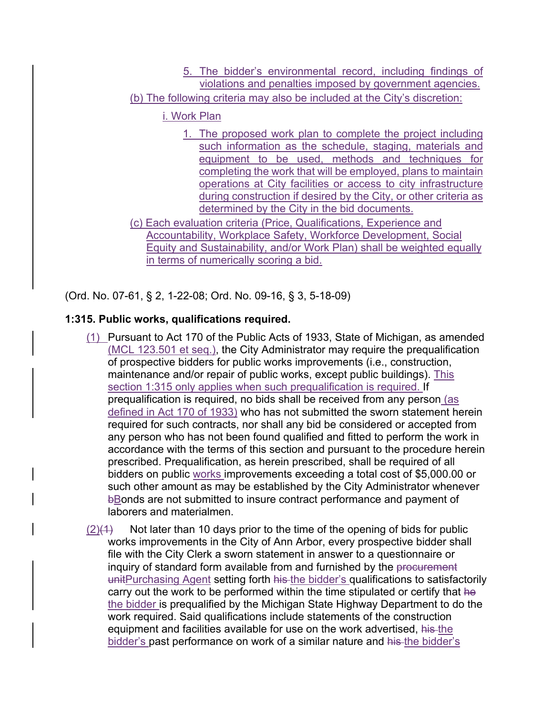5. The bidder's environmental record, including findings of violations and penalties imposed by government agencies. (b) The following criteria may also be included at the City's discretion:

## i. Work Plan

1. The proposed work plan to complete the project including such information as the schedule, staging, materials and equipment to be used, methods and techniques for completing the work that will be employed, plans to maintain operations at City facilities or access to city infrastructure during construction if desired by the City, or other criteria as determined by the City in the bid documents.

(c) Each evaluation criteria (Price, Qualifications, Experience and Accountability, Workplace Safety, Workforce Development, Social Equity and Sustainability, and/or Work Plan) shall be weighted equally in terms of numerically scoring a bid.

(Ord. No. 07-61, § 2, 1-22-08; Ord. No. 09-16, § 3, 5-18-09)

# **1:315. Public works, qualifications required.**

- (1) Pursuant to Act 170 of the Public Acts of 1933, State of Michigan, as amended (MCL 123.501 et seq.), the City Administrator may require the prequalification of prospective bidders for public works improvements (i.e., construction, maintenance and/or repair of public works, except public buildings). This section 1:315 only applies when such prequalification is required. If prequalification is required, no bids shall be received from any person (as defined in Act 170 of 1933) who has not submitted the sworn statement herein required for such contracts, nor shall any bid be considered or accepted from any person who has not been found qualified and fitted to perform the work in accordance with the terms of this section and pursuant to the procedure herein prescribed. Prequalification, as herein prescribed, shall be required of all bidders on public works improvements exceeding a total cost of \$5,000.00 or such other amount as may be established by the City Administrator whenever bBonds are not submitted to insure contract performance and payment of laborers and materialmen.
- $(2)(1)$  Not later than 10 days prior to the time of the opening of bids for public works improvements in the City of Ann Arbor, every prospective bidder shall file with the City Clerk a sworn statement in answer to a questionnaire or inquiry of standard form available from and furnished by the procurement unitPurchasing Agent setting forth his the bidder's qualifications to satisfactorily carry out the work to be performed within the time stipulated or certify that he the bidder is prequalified by the Michigan State Highway Department to do the work required. Said qualifications include statements of the construction equipment and facilities available for use on the work advertised, his the bidder's past performance on work of a similar nature and his-the bidder's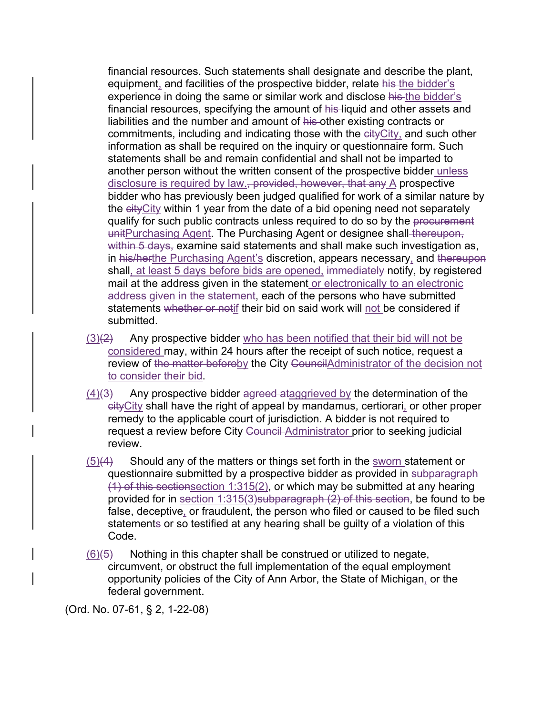financial resources. Such statements shall designate and describe the plant, equipment, and facilities of the prospective bidder, relate his the bidder's experience in doing the same or similar work and disclose his the bidder's financial resources, specifying the amount of his liquid and other assets and liabilities and the number and amount of his other existing contracts or commitments, including and indicating those with the eity City, and such other information as shall be required on the inquiry or questionnaire form. Such statements shall be and remain confidential and shall not be imparted to another person without the written consent of the prospective bidder unless disclosure is required by law.<del>, provided, however, that any</del> A prospective bidder who has previously been judged qualified for work of a similar nature by the eityCity within 1 year from the date of a bid opening need not separately qualify for such public contracts unless required to do so by the procurement unitPurchasing Agent. The Purchasing Agent or designee shall thereupon, within 5 days, examine said statements and shall make such investigation as, in his/herthe Purchasing Agent's discretion, appears necessary, and thereupon shall, at least 5 days before bids are opened, immediately notify, by registered mail at the address given in the statement or electronically to an electronic address given in the statement, each of the persons who have submitted statements whether or notif their bid on said work will not be considered if submitted.

- $(3)(2)$  Any prospective bidder who has been notified that their bid will not be considered may, within 24 hours after the receipt of such notice, request a review of the matter beforeby the City CouncilAdministrator of the decision not to consider their bid.
- $(4)(3)$  Any prospective bidder agreed ataggrieved by the determination of the cityCity shall have the right of appeal by mandamus, certiorari, or other proper remedy to the applicable court of jurisdiction. A bidder is not required to request a review before City Council Administrator prior to seeking judicial review.
- $(5)(4)$  Should any of the matters or things set forth in the sworn statement or questionnaire submitted by a prospective bidder as provided in subparagraph  $(1)$  of this sectionsection 1:315(2), or which may be submitted at any hearing provided for in section 1:315(3)subparagraph (2) of this section, be found to be false, deceptive, or fraudulent, the person who filed or caused to be filed such statements or so testified at any hearing shall be guilty of a violation of this Code.
- $(6)(5)$  Nothing in this chapter shall be construed or utilized to negate, circumvent, or obstruct the full implementation of the equal employment opportunity policies of the City of Ann Arbor, the State of Michigan, or the federal government.

(Ord. No. 07-61, § 2, 1-22-08)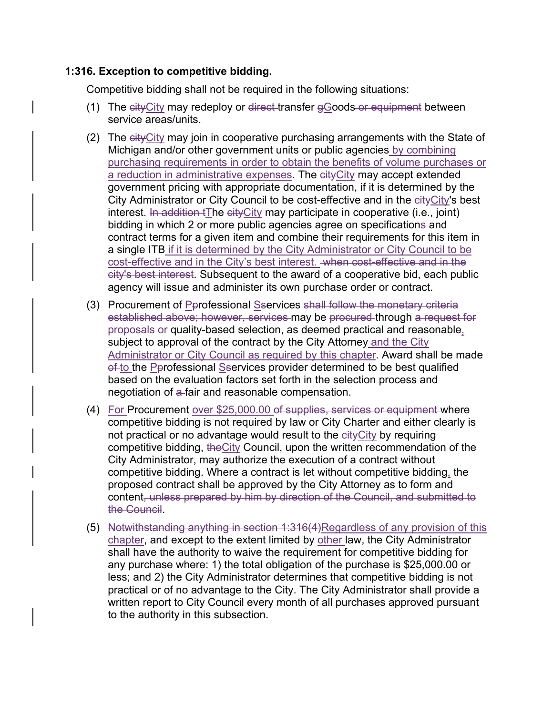### **1:316. Exception to competitive bidding.**

Competitive bidding shall not be required in the following situations:

- (1) The  $cityCity$  may redeploy or direct-transfer  $g$  Goods or equipment between service areas/units.
- (2) The cityCity may join in cooperative purchasing arrangements with the State of Michigan and/or other government units or public agencies by combining purchasing requirements in order to obtain the benefits of volume purchases or a reduction in administrative expenses. The cityCity may accept extended government pricing with appropriate documentation, if it is determined by the City Administrator or City Council to be cost-effective and in the eity City's best interest. In addition  $t$ The city City may participate in cooperative (i.e., joint) bidding in which 2 or more public agencies agree on specifications and contract terms for a given item and combine their requirements for this item in a single ITB if it is determined by the City Administrator or City Council to be cost-effective and in the City's best interest. when cost-effective and in the city's best interest. Subsequent to the award of a cooperative bid, each public agency will issue and administer its own purchase order or contract.
- (3) Procurement of Pprofessional Sservices shall follow the monetary criteria established above; however, services may be procured through a request for proposals or quality-based selection, as deemed practical and reasonable, subject to approval of the contract by the City Attorney and the City Administrator or City Council as required by this chapter. Award shall be made of to the Perofessional Sservices provider determined to be best qualified based on the evaluation factors set forth in the selection process and negotiation of a fair and reasonable compensation.
- (4) For Procurement over \$25,000.00 of supplies, services or equipment where competitive bidding is not required by law or City Charter and either clearly is not practical or no advantage would result to the eityCity by requiring competitive bidding, theCity Council, upon the written recommendation of the City Administrator, may authorize the execution of a contract without competitive bidding. Where a contract is let without competitive bidding, the proposed contract shall be approved by the City Attorney as to form and content, unless prepared by him by direction of the Council, and submitted to the Council.
- (5) Notwithstanding anything in section 1:316(4)Regardless of any provision of this chapter, and except to the extent limited by other law, the City Administrator shall have the authority to waive the requirement for competitive bidding for any purchase where: 1) the total obligation of the purchase is \$25,000.00 or less; and 2) the City Administrator determines that competitive bidding is not practical or of no advantage to the City. The City Administrator shall provide a written report to City Council every month of all purchases approved pursuant to the authority in this subsection.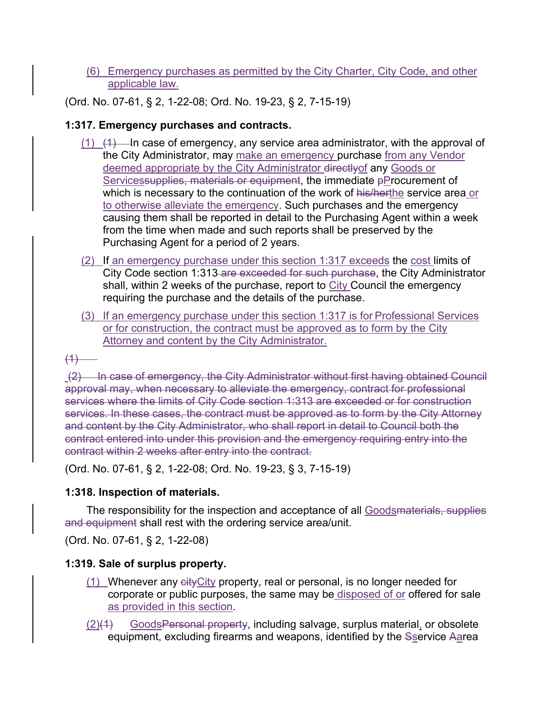(6) Emergency purchases as permitted by the City Charter, City Code, and other applicable law.

(Ord. No. 07-61, § 2, 1-22-08; Ord. No. 19-23, § 2, 7-15-19)

## **1:317. Emergency purchases and contracts.**

- $(1)$   $(1)$  In case of emergency, any service area administrator, with the approval of the City Administrator, may make an emergency purchase from any Vendor deemed appropriate by the City Administrator directly of any Goods or Servicessupplies, materials or equipment, the immediate pProcurement of which is necessary to the continuation of the work of his/herthe service area or to otherwise alleviate the emergency. Such purchases and the emergency causing them shall be reported in detail to the Purchasing Agent within a week from the time when made and such reports shall be preserved by the Purchasing Agent for a period of 2 years.
- (2) If an emergency purchase under this section 1:317 exceeds the cost limits of City Code section 1:313 are exceeded for such purchase, the City Administrator shall, within 2 weeks of the purchase, report to City Council the emergency requiring the purchase and the details of the purchase.
- (3) If an emergency purchase under this section 1:317 is for Professional Services or for construction, the contract must be approved as to form by the City Attorney and content by the City Administrator.

 $(1)$ 

 (2) In case of emergency, the City Administrator without first having obtained Council approval may, when necessary to alleviate the emergency, contract for professional services where the limits of City Code section 1:313 are exceeded or for construction services. In these cases, the contract must be approved as to form by the City Attorney and content by the City Administrator, who shall report in detail to Council both the contract entered into under this provision and the emergency requiring entry into the contract within 2 weeks after entry into the contract.

(Ord. No. 07-61, § 2, 1-22-08; Ord. No. 19-23, § 3, 7-15-19)

## **1:318. Inspection of materials.**

The responsibility for the inspection and acceptance of all Goodsmaterials, supplies and equipment shall rest with the ordering service area/unit.

(Ord. No. 07-61, § 2, 1-22-08)

## **1:319. Sale of surplus property.**

- $(1)$  Whenever any eity City property, real or personal, is no longer needed for corporate or public purposes, the same may be disposed of or offered for sale as provided in this section.
- $(2)(1)$  Goods Personal property, including salvage, surplus material, or obsolete equipment, excluding firearms and weapons, identified by the Sservice Aarea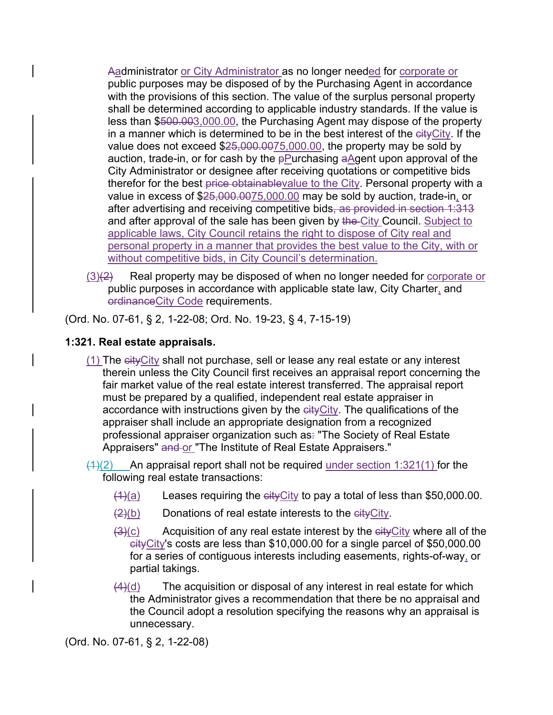Aadministrator or City Administrator as no longer needed for corporate or public purposes may be disposed of by the Purchasing Agent in accordance with the provisions of this section. The value of the surplus personal property shall be determined according to applicable industry standards. If the value is less than \$500.003,000.00, the Purchasing Agent may dispose of the property in a manner which is determined to be in the best interest of the cityCity. If the value does not exceed  $$25,000.0075,000.00$ , the property may be sold by auction, trade-in, or for cash by the  $p$ Purchasing aAgent upon approval of the City Administrator or designee after receiving quotations or competitive bids therefor for the best price obtainablevalue to the City. Personal property with a value in excess of \$25,000.0075,000.00 may be sold by auction, trade-in, or after advertising and receiving competitive bids, as provided in section 1:313 and after approval of the sale has been given by the City Council. Subject to applicable laws, City Council retains the right to dispose of City real and personal property in a manner that provides the best value to the City, with or without competitive bids, in City Council's determination.

 $(3)(2)$  Real property may be disposed of when no longer needed for corporate or public purposes in accordance with applicable state law, City Charter, and ordinanceCity Code requirements.

(Ord. No. 07-61, § 2, 1-22-08; Ord. No. 19-23, § 4, 7-15-19)

# **1:321. Real estate appraisals.**

- $(1)$  The  $e$ ity City shall not purchase, sell or lease any real estate or any interest therein unless the City Council first receives an appraisal report concerning the fair market value of the real estate interest transferred. The appraisal report must be prepared by a qualified, independent real estate appraiser in accordance with instructions given by the eityCity. The qualifications of the appraiser shall include an appropriate designation from a recognized professional appraiser organization such as. "The Society of Real Estate Appraisers" and or "The Institute of Real Estate Appraisers."
- $(1)(2)$  An appraisal report shall not be required under section 1:321(1) for the following real estate transactions:
	- $(1)(a)$  Leases requiring the eity City to pay a total of less than \$50,000.00.
	- $(2)(b)$  Donations of real estate interests to the eityCity.
	- $\frac{3(0)}{2}$  Acquisition of any real estate interest by the eity City where all of the cityCity's costs are less than \$10,000.00 for a single parcel of \$50,000.00 for a series of contiguous interests including easements, rights-of-way, or partial takings.
	- $\frac{4}{d}$ (d) The acquisition or disposal of any interest in real estate for which the Administrator gives a recommendation that there be no appraisal and the Council adopt a resolution specifying the reasons why an appraisal is unnecessary.

(Ord. No. 07-61, § 2, 1-22-08)